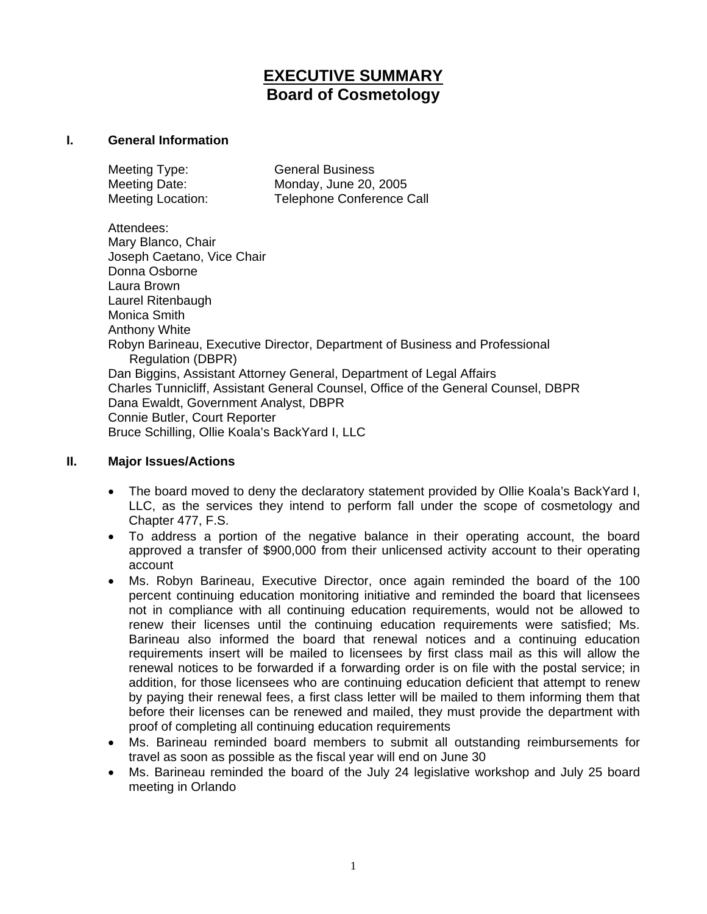# **EXECUTIVE SUMMARY Board of Cosmetology**

#### **I. General Information**

| Meeting Type:     | <b>General Business</b>          |
|-------------------|----------------------------------|
| Meeting Date:     | Monday, June 20, 2005            |
| Meeting Location: | <b>Telephone Conference Call</b> |

Attendees: Mary Blanco, Chair Joseph Caetano, Vice Chair Donna Osborne Laura Brown Laurel Ritenbaugh Monica Smith Anthony White Robyn Barineau, Executive Director, Department of Business and Professional Regulation (DBPR) Dan Biggins, Assistant Attorney General, Department of Legal Affairs Charles Tunnicliff, Assistant General Counsel, Office of the General Counsel, DBPR Dana Ewaldt, Government Analyst, DBPR Connie Butler, Court Reporter Bruce Schilling, Ollie Koala's BackYard I, LLC

#### **II. Major Issues/Actions**

- The board moved to deny the declaratory statement provided by Ollie Koala's BackYard I, LLC, as the services they intend to perform fall under the scope of cosmetology and Chapter 477, F.S.
- To address a portion of the negative balance in their operating account, the board approved a transfer of \$900,000 from their unlicensed activity account to their operating account
- Ms. Robyn Barineau, Executive Director, once again reminded the board of the 100 percent continuing education monitoring initiative and reminded the board that licensees not in compliance with all continuing education requirements, would not be allowed to renew their licenses until the continuing education requirements were satisfied; Ms. Barineau also informed the board that renewal notices and a continuing education requirements insert will be mailed to licensees by first class mail as this will allow the renewal notices to be forwarded if a forwarding order is on file with the postal service; in addition, for those licensees who are continuing education deficient that attempt to renew by paying their renewal fees, a first class letter will be mailed to them informing them that before their licenses can be renewed and mailed, they must provide the department with proof of completing all continuing education requirements
- Ms. Barineau reminded board members to submit all outstanding reimbursements for travel as soon as possible as the fiscal year will end on June 30
- Ms. Barineau reminded the board of the July 24 legislative workshop and July 25 board meeting in Orlando